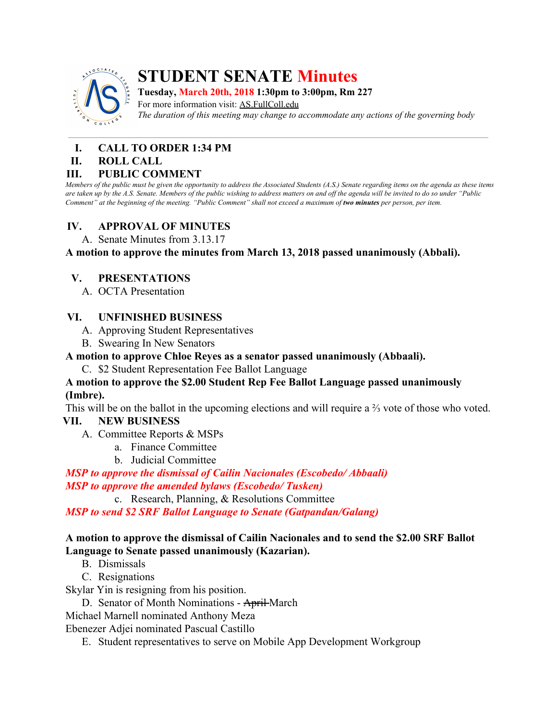

# **STUDENT SENATE Minutes**

**Tuesday, March 20th, 2018 1:30pm to 3:00pm, Rm 227**

For more information visit: AS.FullColl.edu *The duration of this meeting may change to accommodate any actions of the governing body*

## **I. CALL TO ORDER 1:34 PM**

#### **II. ROLL CALL**

#### **III. PUBLIC COMMENT**

Members of the public must be given the opportunity to address the Associated Students (A.S.) Senate regarding items on the agenda as these items are taken up by the A.S. Senate. Members of the public wishing to address matters on and off the agenda will be invited to do so under "Public Comment" at the beginning of the meeting. "Public Comment" shall not exceed a maximum of two minutes per person, per item.

#### **IV. APPROVAL OF MINUTES**

A. Senate Minutes from 3.13.17

**A motion to approve the minutes from March 13, 2018 passed unanimously (Abbali).**

#### **V. PRESENTATIONS**

A. OCTA Presentation

#### **VI. UNFINISHED BUSINESS**

- A. Approving Student Representatives
- B. Swearing In New Senators

#### **A motion to approve Chloe Reyes as a senator passed unanimously (Abbaali).**

C. \$2 Student Representation Fee Ballot Language

#### **A motion to approve the \$2.00 Student Rep Fee Ballot Language passed unanimously (Imbre).**

This will be on the ballot in the upcoming elections and will require a ⅔ vote of those who voted. **VII. NEW BUSINESS**

# A. Committee Reports & MSPs

- a. Finance Committee
	- b. Judicial Committee

*MSP to approve the dismissal of Cailin Nacionales (Escobedo/ Abbaali) MSP to approve the amended bylaws (Escobedo/ Tusken)*

c. Research, Planning, & Resolutions Committee

*MSP to send \$2 SRF Ballot Language to Senate (Gatpandan/Galang)*

#### **A motion to approve the dismissal of Cailin Nacionales and to send the \$2.00 SRF Ballot Language to Senate passed unanimously (Kazarian).**

- B. Dismissals
- C. Resignations

Skylar Yin is resigning from his position.

D. Senator of Month Nominations - April-March

Michael Marnell nominated Anthony Meza

Ebenezer Adjei nominated Pascual Castillo

E. Student representatives to serve on Mobile App Development Workgroup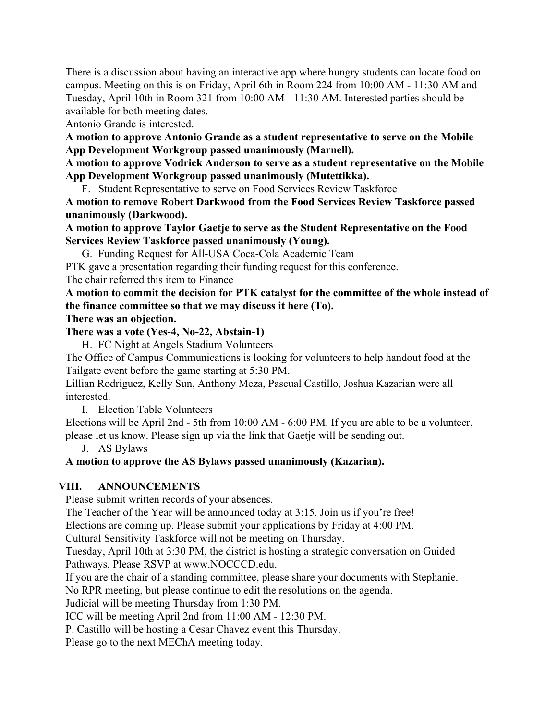There is a discussion about having an interactive app where hungry students can locate food on campus. Meeting on this is on Friday, April 6th in Room 224 from 10:00 AM - 11:30 AM and Tuesday, April 10th in Room 321 from 10:00 AM - 11:30 AM. Interested parties should be available for both meeting dates.

Antonio Grande is interested.

**A motion to approve Antonio Grande as a student representative to serve on the Mobile App Development Workgroup passed unanimously (Marnell).**

**A motion to approve Vodrick Anderson to serve as a student representative on the Mobile App Development Workgroup passed unanimously (Mutettikka).**

F. Student Representative to serve on Food Services Review Taskforce

**A motion to remove Robert Darkwood from the Food Services Review Taskforce passed unanimously (Darkwood).**

**A motion to approve Taylor Gaetje to serve as the Student Representative on the Food Services Review Taskforce passed unanimously (Young).**

G. Funding Request for All-USA Coca-Cola Academic Team

PTK gave a presentation regarding their funding request for this conference.

The chair referred this item to Finance

**A motion to commit the decision for PTK catalyst for the committee of the whole instead of the finance committee so that we may discuss it here (To).**

#### **There was an objection.**

#### **There was a vote (Yes-4, No-22, Abstain-1)**

H. FC Night at Angels Stadium Volunteers

The Office of Campus Communications is looking for volunteers to help handout food at the Tailgate event before the game starting at 5:30 PM.

Lillian Rodriguez, Kelly Sun, Anthony Meza, Pascual Castillo, Joshua Kazarian were all interested.

I. Election Table Volunteers

Elections will be April 2nd - 5th from 10:00 AM - 6:00 PM. If you are able to be a volunteer, please let us know. Please sign up via the link that Gaetje will be sending out.

J. AS Bylaws

### **A motion to approve the AS Bylaws passed unanimously (Kazarian).**

#### **VIII. ANNOUNCEMENTS**

Please submit written records of your absences.

The Teacher of the Year will be announced today at 3:15. Join us if you're free!

Elections are coming up. Please submit your applications by Friday at 4:00 PM.

Cultural Sensitivity Taskforce will not be meeting on Thursday.

Tuesday, April 10th at 3:30 PM, the district is hosting a strategic conversation on Guided Pathways. Please RSVP at www.NOCCCD.edu.

If you are the chair of a standing committee, please share your documents with Stephanie.

No RPR meeting, but please continue to edit the resolutions on the agenda.

Judicial will be meeting Thursday from 1:30 PM.

ICC will be meeting April 2nd from 11:00 AM - 12:30 PM.

P. Castillo will be hosting a Cesar Chavez event this Thursday.

Please go to the next MEChA meeting today.